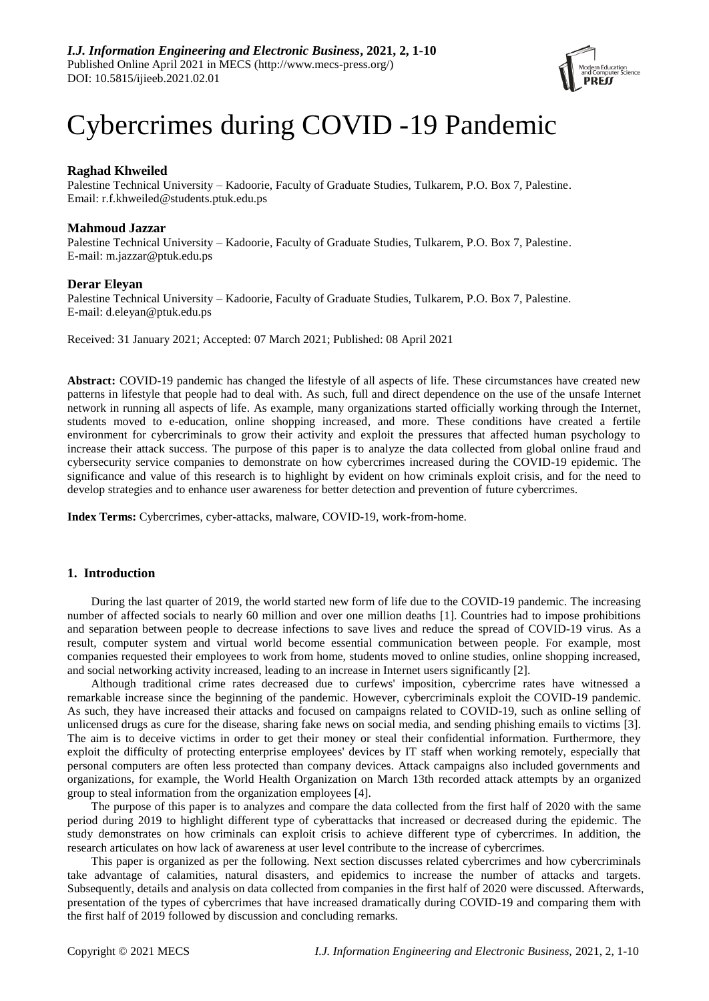

# Cybercrimes during COVID -19 Pandemic

# **Raghad Khweiled**

Palestine Technical University – Kadoorie, Faculty of Graduate Studies, Tulkarem, P.O. Box 7, Palestine. Email: r.f.khweiled@students.ptuk.edu.ps

# **Mahmoud Jazzar**

Palestine Technical University – Kadoorie, Faculty of Graduate Studies, Tulkarem, P.O. Box 7, Palestine. E-mail: m.jazzar@ptuk.edu.ps

# **Derar Eleyan**

Palestine Technical University – Kadoorie, Faculty of Graduate Studies, Tulkarem, P.O. Box 7, Palestine. E-mail: d.eleyan@ptuk.edu.ps

Received: 31 January 2021; Accepted: 07 March 2021; Published: 08 April 2021

**Abstract:** COVID-19 pandemic has changed the lifestyle of all aspects of life. These circumstances have created new patterns in lifestyle that people had to deal with. As such, full and direct dependence on the use of the unsafe Internet network in running all aspects of life. As example, many organizations started officially working through the Internet, students moved to e-education, online shopping increased, and more. These conditions have created a fertile environment for cybercriminals to grow their activity and exploit the pressures that affected human psychology to increase their attack success. The purpose of this paper is to analyze the data collected from global online fraud and cybersecurity service companies to demonstrate on how cybercrimes increased during the COVID-19 epidemic. The significance and value of this research is to highlight by evident on how criminals exploit crisis, and for the need to develop strategies and to enhance user awareness for better detection and prevention of future cybercrimes.

**Index Terms:** Cybercrimes, cyber-attacks, malware, COVID-19, work-from-home.

# **1. Introduction**

During the last quarter of 2019, the world started new form of life due to the COVID-19 pandemic. The increasing number of affected socials to nearly 60 million and over one million deaths [1]. Countries had to impose prohibitions and separation between people to decrease infections to save lives and reduce the spread of COVID-19 virus. As a result, computer system and virtual world become essential communication between people. For example, most companies requested their employees to work from home, students moved to online studies, online shopping increased, and social networking activity increased, leading to an increase in Internet users significantly [2].

Although traditional crime rates decreased due to curfews' imposition, cybercrime rates have witnessed a remarkable increase since the beginning of the pandemic. However, cybercriminals exploit the COVID-19 pandemic. As such, they have increased their attacks and focused on campaigns related to COVID-19, such as online selling of unlicensed drugs as cure for the disease, sharing fake news on social media, and sending phishing emails to victims [3]. The aim is to deceive victims in order to get their money or steal their confidential information. Furthermore, they exploit the difficulty of protecting enterprise employees' devices by IT staff when working remotely, especially that personal computers are often less protected than company devices. Attack campaigns also included governments and organizations, for example, the World Health Organization on March 13th recorded attack attempts by an organized group to steal information from the organization employees [4].

The purpose of this paper is to analyzes and compare the data collected from the first half of 2020 with the same period during 2019 to highlight different type of cyberattacks that increased or decreased during the epidemic. The study demonstrates on how criminals can exploit crisis to achieve different type of cybercrimes. In addition, the research articulates on how lack of awareness at user level contribute to the increase of cybercrimes.

This paper is organized as per the following. Next section discusses related cybercrimes and how cybercriminals take advantage of calamities, natural disasters, and epidemics to increase the number of attacks and targets. Subsequently, details and analysis on data collected from companies in the first half of 2020 were discussed. Afterwards, presentation of the types of cybercrimes that have increased dramatically during COVID-19 and comparing them with the first half of 2019 followed by discussion and concluding remarks.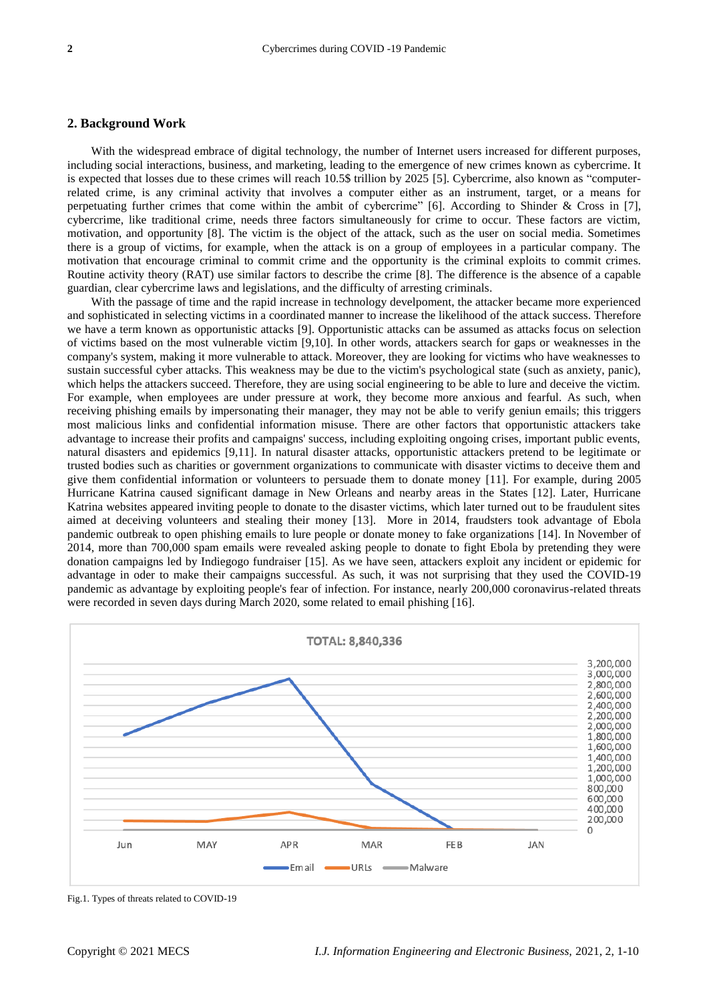# **2. Background Work**

With the widespread embrace of digital technology, the number of Internet users increased for different purposes, including social interactions, business, and marketing, leading to the emergence of new crimes known as cybercrime. It is expected that losses due to these crimes will reach 10.5\$ trillion by 2025 [5]. Cybercrime, also known as "computerrelated crime, is any criminal activity that involves a computer either as an instrument, target, or a means for perpetuating further crimes that come within the ambit of cybercrime" [6]. According to Shinder & Cross in [7], cybercrime, like traditional crime, needs three factors simultaneously for crime to occur. These factors are victim, motivation, and opportunity [8]. The victim is the object of the attack, such as the user on social media. Sometimes there is a group of victims, for example, when the attack is on a group of employees in a particular company. The motivation that encourage criminal to commit crime and the opportunity is the criminal exploits to commit crimes. Routine activity theory (RAT) use similar factors to describe the crime [8]. The difference is the absence of a capable guardian, clear cybercrime laws and legislations, and the difficulty of arresting criminals.

With the passage of time and the rapid increase in technology develpoment, the attacker became more experienced and sophisticated in selecting victims in a coordinated manner to increase the likelihood of the attack success. Therefore we have a term known as opportunistic attacks [9]. Opportunistic attacks can be assumed as attacks focus on selection of victims based on the most vulnerable victim [9,10]. In other words, attackers search for gaps or weaknesses in the company's system, making it more vulnerable to attack. Moreover, they are looking for victims who have weaknesses to sustain successful cyber attacks. This weakness may be due to the victim's psychological state (such as anxiety, panic), which helps the attackers succeed. Therefore, they are using social engineering to be able to lure and deceive the victim. For example, when employees are under pressure at work, they become more anxious and fearful. As such, when receiving phishing emails by impersonating their manager, they may not be able to verify geniun emails; this triggers most malicious links and confidential information misuse. There are other factors that opportunistic attackers take advantage to increase their profits and campaigns' success, including exploiting ongoing crises, important public events, natural disasters and epidemics [9,11]. In natural disaster attacks, opportunistic attackers pretend to be legitimate or trusted bodies such as charities or government organizations to communicate with disaster victims to deceive them and give them confidential information or volunteers to persuade them to donate money [11]. For example, during 2005 Hurricane Katrina caused significant damage in New Orleans and nearby areas in the States [12]. Later, Hurricane Katrina websites appeared inviting people to donate to the disaster victims, which later turned out to be fraudulent sites aimed at deceiving volunteers and stealing their money [13]. More in 2014, fraudsters took advantage of Ebola pandemic outbreak to open phishing emails to lure people or donate money to fake organizations [14]. In November of 2014, more than 700,000 spam emails were revealed asking people to donate to fight Ebola by pretending they were donation campaigns led by Indiegogo fundraiser [15]. As we have seen, attackers exploit any incident or epidemic for advantage in oder to make their campaigns successful. As such, it was not surprising that they used the COVID-19 pandemic as advantage by exploiting people's fear of infection. For instance, nearly 200,000 coronavirus-related threats were recorded in seven days during March 2020, some related to email phishing [16].



Fig.1. Types of threats related to COVID-19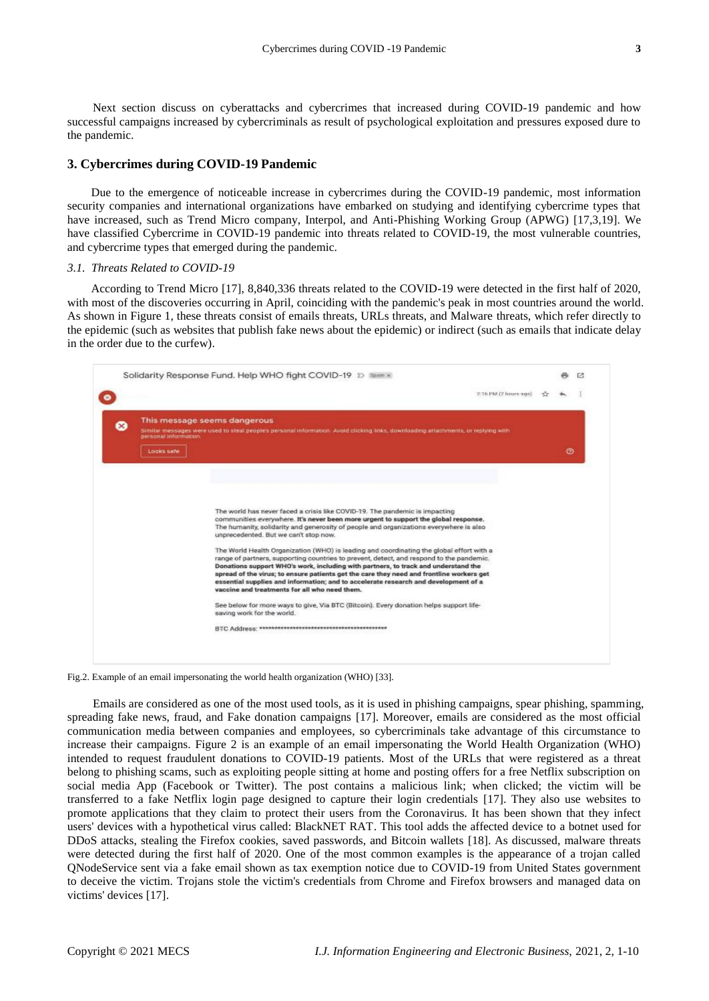Next section discuss on cyberattacks and cybercrimes that increased during COVID-19 pandemic and how successful campaigns increased by cybercriminals as result of psychological exploitation and pressures exposed dure to the pandemic.

# **3. Cybercrimes during COVID-19 Pandemic**

Due to the emergence of noticeable increase in cybercrimes during the COVID-19 pandemic, most information security companies and international organizations have embarked on studying and identifying cybercrime types that have increased, such as Trend Micro company, Interpol, and Anti-Phishing Working Group (APWG) [17,3,19]. We have classified Cybercrime in COVID-19 pandemic into threats related to COVID-19, the most vulnerable countries, and cybercrime types that emerged during the pandemic.

# *3.1. Threats Related to COVID-19*

According to Trend Micro [17], 8,840,336 threats related to the COVID-19 were detected in the first half of 2020, with most of the discoveries occurring in April, coinciding with the pandemic's peak in most countries around the world. As shown in Figure 1, these threats consist of emails threats, URLs threats, and Malware threats, which refer directly to the epidemic (such as websites that publish fake news about the epidemic) or indirect (such as emails that indicate delay in the order due to the curfew).



Fig.2. Example of an email impersonating the world health organization (WHO) [33].

Emails are considered as one of the most used tools, as it is used in phishing campaigns, spear phishing, spamming, spreading fake news, fraud, and Fake donation campaigns [17]. Moreover, emails are considered as the most official communication media between companies and employees, so cybercriminals take advantage of this circumstance to increase their campaigns. Figure 2 is an example of an email impersonating the World Health Organization (WHO) intended to request fraudulent donations to COVID-19 patients. Most of the URLs that were registered as a threat belong to phishing scams, such as exploiting people sitting at home and posting offers for a free Netflix subscription on social media App (Facebook or Twitter). The post contains a malicious link; when clicked; the victim will be transferred to a fake Netflix login page designed to capture their login credentials [17]. They also use websites to promote applications that they claim to protect their users from the Coronavirus. It has been shown that they infect users' devices with a hypothetical virus called: BlackNET RAT. This tool adds the affected device to a botnet used for DDoS attacks, stealing the Firefox cookies, saved passwords, and Bitcoin wallets [18]. As discussed, malware threats were detected during the first half of 2020. One of the most common examples is the appearance of a trojan called QNodeService sent via a fake email shown as tax exemption notice due to COVID-19 from United States government to deceive the victim. Trojans stole the victim's credentials from Chrome and Firefox browsers and managed data on victims' devices [17].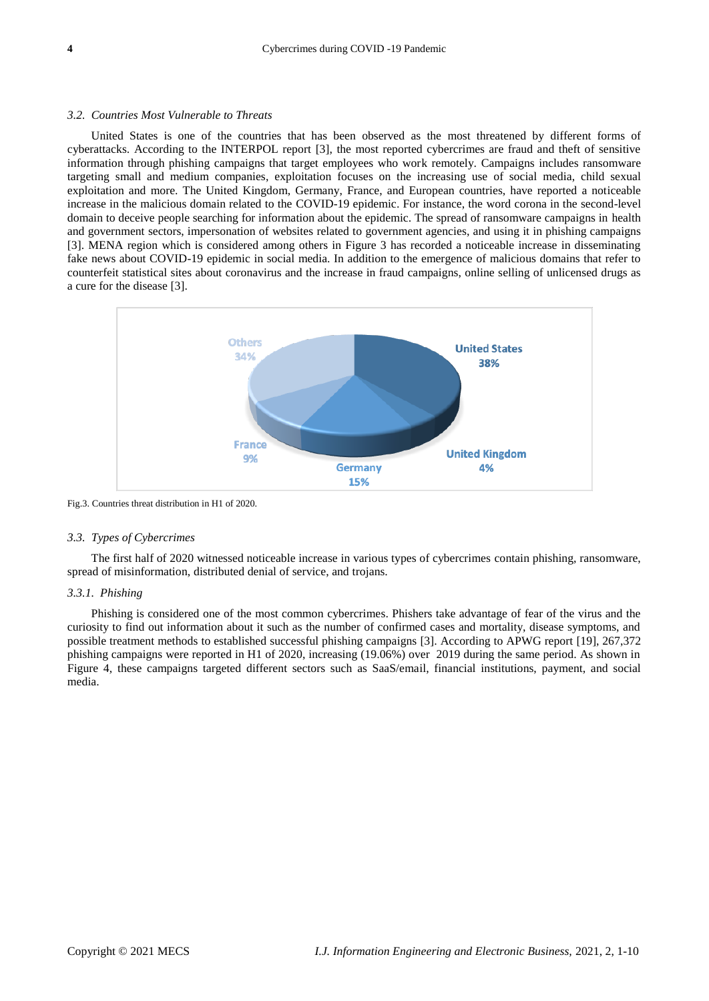#### *3.2. Countries Most Vulnerable to Threats*

United States is one of the countries that has been observed as the most threatened by different forms of cyberattacks. According to the INTERPOL report [3], the most reported cybercrimes are fraud and theft of sensitive information through phishing campaigns that target employees who work remotely. Campaigns includes ransomware targeting small and medium companies, exploitation focuses on the increasing use of social media, child sexual exploitation and more. The United Kingdom, Germany, France, and European countries, have reported a noticeable increase in the malicious domain related to the COVID-19 epidemic. For instance, the word corona in the second-level domain to deceive people searching for information about the epidemic. The spread of ransomware campaigns in health and government sectors, impersonation of websites related to government agencies, and using it in phishing campaigns [3]. MENA region which is considered among others in Figure 3 has recorded a noticeable increase in disseminating fake news about COVID-19 epidemic in social media. In addition to the emergence of malicious domains that refer to counterfeit statistical sites about coronavirus and the increase in fraud campaigns, online selling of unlicensed drugs as a cure for the disease [3].



Fig.3. Countries threat distribution in H1 of 2020.

#### *3.3. Types of Cybercrimes*

The first half of 2020 witnessed noticeable increase in various types of cybercrimes contain phishing, ransomware, spread of misinformation, distributed denial of service, and trojans.

## *3.3.1. Phishing*

Phishing is considered one of the most common cybercrimes. Phishers take advantage of fear of the virus and the curiosity to find out information about it such as the number of confirmed cases and mortality, disease symptoms, and possible treatment methods to established successful phishing campaigns [3]. According to APWG report [19], 267,372 phishing campaigns were reported in H1 of 2020, increasing (19.06%) over 2019 during the same period. As shown in Figure 4, these campaigns targeted different sectors such as SaaS/email, financial institutions, payment, and social media.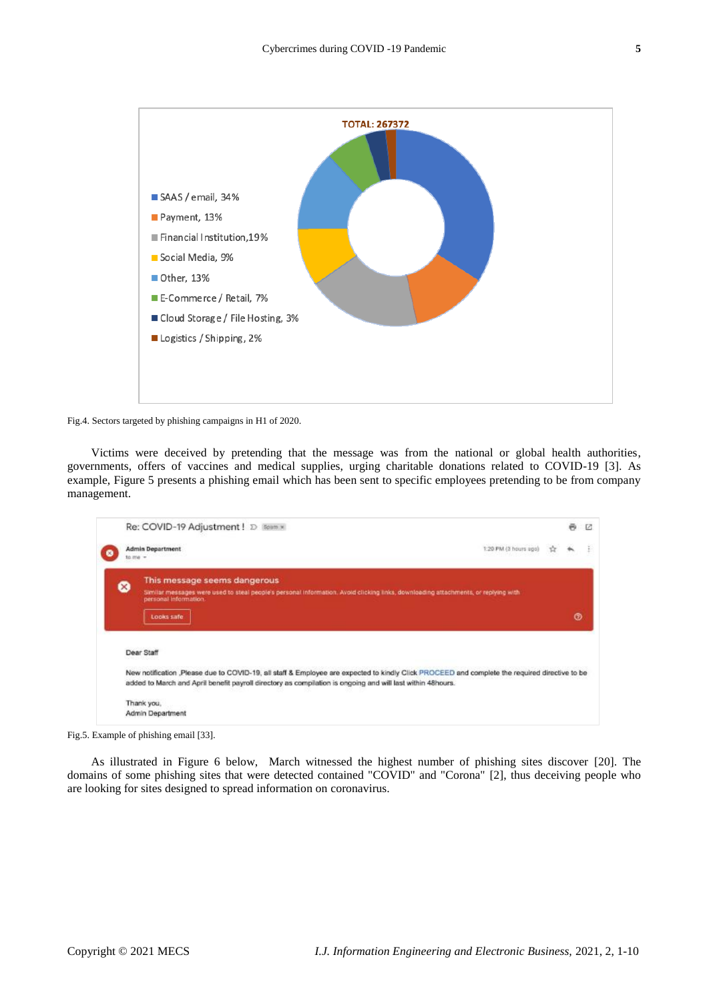

Fig.4. Sectors targeted by phishing campaigns in H1 of 2020.

Victims were deceived by pretending that the message was from the national or global health authorities, governments, offers of vaccines and medical supplies, urging charitable donations related to COVID-19 [3]. As example, Figure 5 presents a phishing email which has been sent to specific employees pretending to be from company management.

|                                    | Re: COVID-19 Adjustment ! D Soum x                                                                                                                                                                                                                          |   | ē | E |  |  |  |  |
|------------------------------------|-------------------------------------------------------------------------------------------------------------------------------------------------------------------------------------------------------------------------------------------------------------|---|---|---|--|--|--|--|
| <b>Admin Department</b><br>to me - | 1:20 PM (3 hours ago)                                                                                                                                                                                                                                       | ☆ |   |   |  |  |  |  |
| ⊗                                  | This message seems dangerous<br>Similar messages were used to steal people's personal information. Avoid clicking links, downloading attachments, or replying with                                                                                          |   |   |   |  |  |  |  |
|                                    | personal information.<br>Looks safe                                                                                                                                                                                                                         |   |   |   |  |  |  |  |
| Dear Staff                         |                                                                                                                                                                                                                                                             |   |   |   |  |  |  |  |
|                                    | New notification ,Please due to COVID-19, all staff & Employee are expected to kindly Click PROCEED and complete the required directive to be<br>added to March and April benefit payroll directory as compilation is ongoing and will last within 48hours. |   |   |   |  |  |  |  |
|                                    |                                                                                                                                                                                                                                                             |   |   |   |  |  |  |  |

Fig.5. Example of phishing email [33].

As illustrated in Figure 6 below, March witnessed the highest number of phishing sites discover [20]. The domains of some phishing sites that were detected contained "COVID" and "Corona" [2], thus deceiving people who are looking for sites designed to spread information on coronavirus.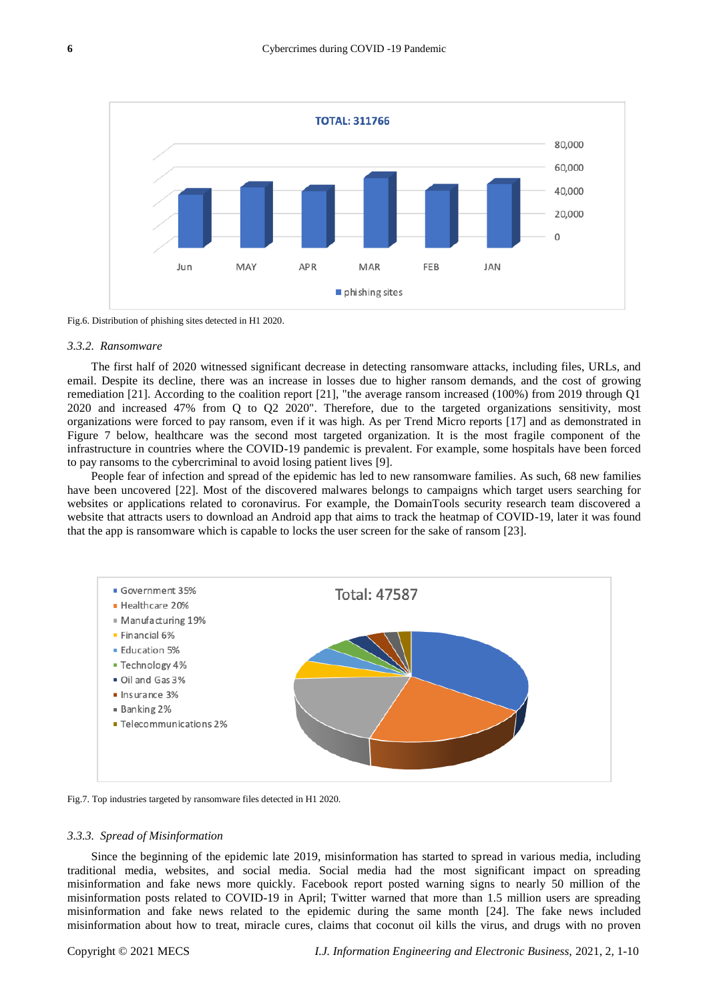

Fig.6. Distribution of phishing sites detected in H1 2020.

## *3.3.2. Ransomware*

The first half of 2020 witnessed significant decrease in detecting ransomware attacks, including files, URLs, and email. Despite its decline, there was an increase in losses due to higher ransom demands, and the cost of growing remediation [21]. According to the coalition report [21], "the average ransom increased (100%) from 2019 through Q1 2020 and increased 47% from Q to Q2 2020". Therefore, due to the targeted organizations sensitivity, most organizations were forced to pay ransom, even if it was high. As per Trend Micro reports [17] and as demonstrated in Figure 7 below, healthcare was the second most targeted organization. It is the most fragile component of the infrastructure in countries where the COVID-19 pandemic is prevalent. For example, some hospitals have been forced to pay ransoms to the cybercriminal to avoid losing patient lives [9].

People fear of infection and spread of the epidemic has led to new ransomware families. As such, 68 new families have been uncovered [22]. Most of the discovered malwares belongs to campaigns which target users searching for websites or applications related to coronavirus. For example, the DomainTools security research team discovered a website that attracts users to download an Android app that aims to track the heatmap of COVID-19, later it was found that the app is ransomware which is capable to locks the user screen for the sake of ransom [23].



Fig.7. Top industries targeted by ransomware files detected in H1 2020.

## *3.3.3. Spread of Misinformation*

Since the beginning of the epidemic late 2019, misinformation has started to spread in various media, including traditional media, websites, and social media. Social media had the most significant impact on spreading misinformation and fake news more quickly. Facebook report posted warning signs to nearly 50 million of the misinformation posts related to COVID-19 in April; Twitter warned that more than 1.5 million users are spreading misinformation and fake news related to the epidemic during the same month [24]. The fake news included misinformation about how to treat, miracle cures, claims that coconut oil kills the virus, and drugs with no proven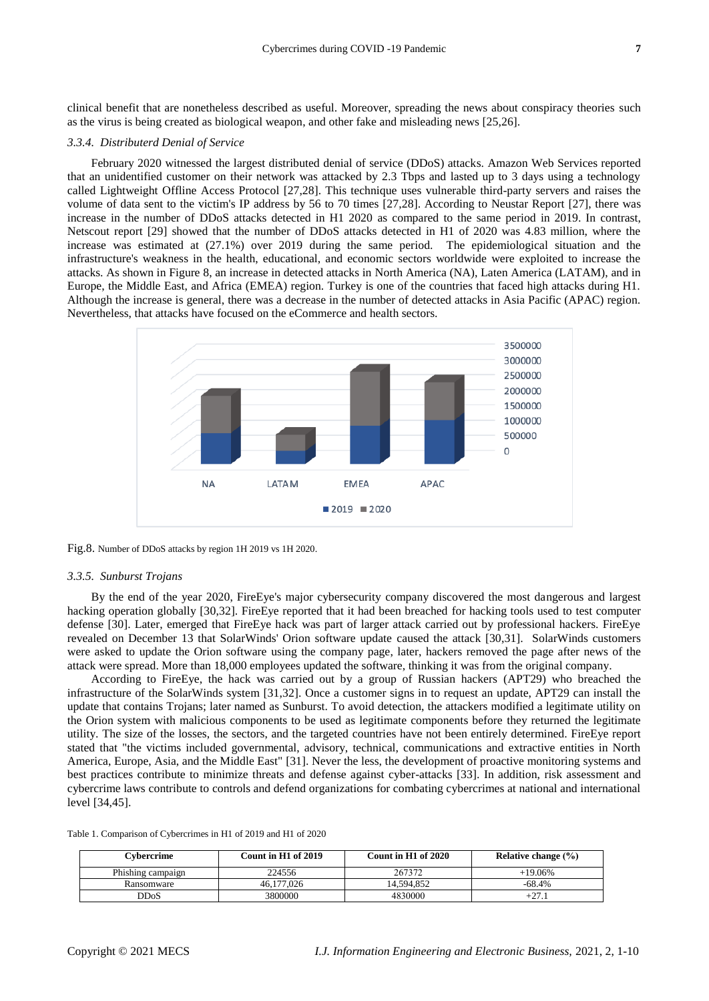clinical benefit that are nonetheless described as useful. Moreover, spreading the news about conspiracy theories such as the virus is being created as biological weapon, and other fake and misleading news [25,26].

## *3.3.4. Distributerd Denial of Service*

February 2020 witnessed the largest distributed denial of service (DDoS) attacks. Amazon Web Services reported that an unidentified customer on their network was attacked by 2.3 Tbps and lasted up to 3 days using a technology called Lightweight Offline Access Protocol [27,28]. This technique uses vulnerable third-party servers and raises the volume of data sent to the victim's IP address by 56 to 70 times [27,28]. According to Neustar Report [27], there was increase in the number of DDoS attacks detected in H1 2020 as compared to the same period in 2019. In contrast, Netscout report [29] showed that the number of DDoS attacks detected in H1 of 2020 was 4.83 million, where the increase was estimated at (27.1%) over 2019 during the same period. The epidemiological situation and the infrastructure's weakness in the health, educational, and economic sectors worldwide were exploited to increase the attacks. As shown in Figure 8, an increase in detected attacks in North America (NA), Laten America (LATAM), and in Europe, the Middle East, and Africa (EMEA) region. Turkey is one of the countries that faced high attacks during H1. Although the increase is general, there was a decrease in the number of detected attacks in Asia Pacific (APAC) region. Nevertheless, that attacks have focused on the eCommerce and health sectors.



Fig.8. Number of DDoS attacks by region 1H 2019 vs 1H 2020.

## *3.3.5. Sunburst Trojans*

By the end of the year 2020, FireEye's major cybersecurity company discovered the most dangerous and largest hacking operation globally [30,32]. FireEye reported that it had been breached for hacking tools used to test computer defense [30]. Later, emerged that FireEye hack was part of larger attack carried out by professional hackers. FireEye revealed on December 13 that SolarWinds' Orion software update caused the attack [30,31]. SolarWinds customers were asked to update the Orion software using the company page, later, hackers removed the page after news of the attack were spread. More than 18,000 employees updated the software, thinking it was from the original company.

According to FireEye, the hack was carried out by a group of Russian hackers (APT29) who breached the infrastructure of the SolarWinds system [31,32]. Once a customer signs in to request an update, APT29 can install the update that contains Trojans; later named as Sunburst. To avoid detection, the attackers modified a legitimate utility on the Orion system with malicious components to be used as legitimate components before they returned the legitimate utility. The size of the losses, the sectors, and the targeted countries have not been entirely determined. FireEye report stated that "the victims included governmental, advisory, technical, communications and extractive entities in North America, Europe, Asia, and the Middle East" [31]. Never the less, the development of proactive monitoring systems and best practices contribute to minimize threats and defense against cyber-attacks [33]. In addition, risk assessment and cybercrime laws contribute to controls and defend organizations for combating cybercrimes at national and international level [34,45].

| Table 1. Comparison of Cybercrimes in H1 of 2019 and H1 of 2020 |  |  |  |
|-----------------------------------------------------------------|--|--|--|
|                                                                 |  |  |  |

| Cvbercrime        | Count in H1 of 2019 | Count in H1 of 2020 | Relative change $(\% )$ |
|-------------------|---------------------|---------------------|-------------------------|
| Phishing campaign | 224556              | 267372              | +19.06%                 |
| Ransomware        | 46.177.026          | 14.594.852          | -68.4%                  |
| DDoS              | 3800000             | 4830000             |                         |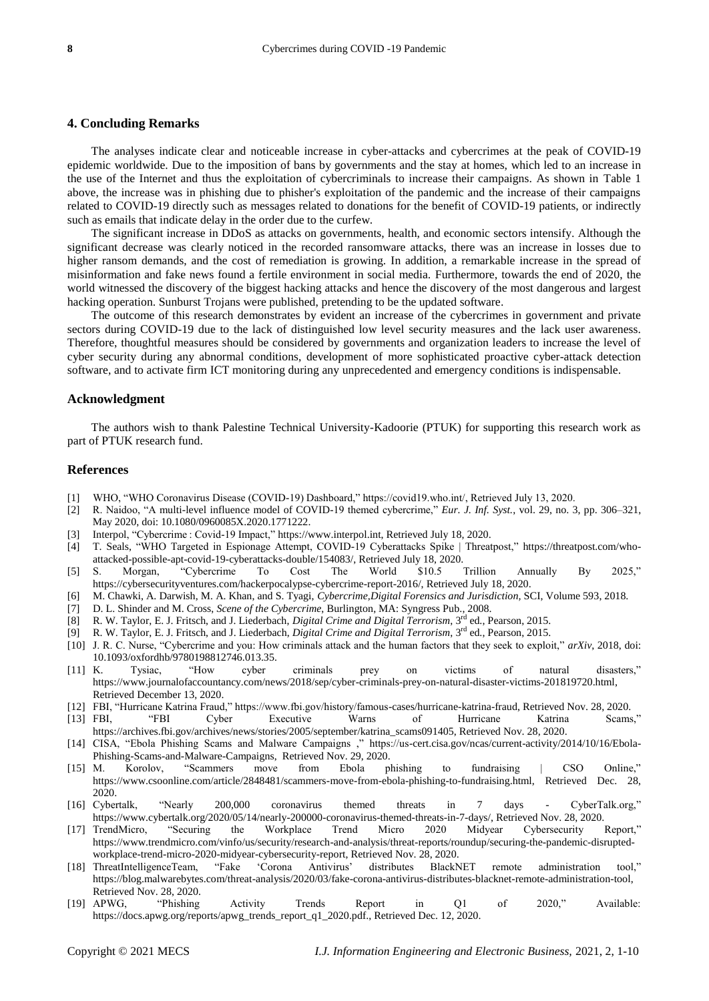# **4. Concluding Remarks**

The analyses indicate clear and noticeable increase in cyber-attacks and cybercrimes at the peak of COVID-19 epidemic worldwide. Due to the imposition of bans by governments and the stay at homes, which led to an increase in the use of the Internet and thus the exploitation of cybercriminals to increase their campaigns. As shown in Table 1 above, the increase was in phishing due to phisher's exploitation of the pandemic and the increase of their campaigns related to COVID-19 directly such as messages related to donations for the benefit of COVID-19 patients, or indirectly such as emails that indicate delay in the order due to the curfew.

The significant increase in DDoS as attacks on governments, health, and economic sectors intensify. Although the significant decrease was clearly noticed in the recorded ransomware attacks, there was an increase in losses due to higher ransom demands, and the cost of remediation is growing. In addition, a remarkable increase in the spread of misinformation and fake news found a fertile environment in social media. Furthermore, towards the end of 2020, the world witnessed the discovery of the biggest hacking attacks and hence the discovery of the most dangerous and largest hacking operation. Sunburst Trojans were published, pretending to be the updated software.

The outcome of this research demonstrates by evident an increase of the cybercrimes in government and private sectors during COVID-19 due to the lack of distinguished low level security measures and the lack user awareness. Therefore, thoughtful measures should be considered by governments and organization leaders to increase the level of cyber security during any abnormal conditions, development of more sophisticated proactive cyber-attack detection software, and to activate firm ICT monitoring during any unprecedented and emergency conditions is indispensable.

## **Acknowledgment**

The authors wish to thank Palestine Technical University-Kadoorie (PTUK) for supporting this research work as part of PTUK research fund.

## **References**

- [1] WHO, "WHO Coronavirus Disease (COVID-19) Dashboard," https://covid19.who.int/, Retrieved July 13, 2020.
- [2] R. Naidoo, "A multi-level influence model of COVID-19 themed cybercrime," *Eur. J. Inf. Syst.*, vol. 29, no. 3, pp. 306–321, May 2020, doi: 10.1080/0960085X.2020.1771222.
- [3] Interpol, "Cybercrime : Covid-19 Impact," https://www.interpol.int, Retrieved July 18, 2020.
- [4] T. Seals, "WHO Targeted in Espionage Attempt, COVID-19 Cyberattacks Spike | Threatpost," [https://threatpost.com/who](https://threatpost.com/who-)attacked-possible-apt-covid-19-cyberattacks-double/154083/, Retrieved July 18, 2020.
- [5] S. Morgan, "Cybercrime To Cost The World \$10.5 Trillion Annually By 2025," https://cybersecurityventures.com/hackerpocalypse-cybercrime-report-2016/, Retrieved July 18, 2020.
- [6] M. Chawki, A. Darwish, M. A. Khan, and S. Tyagi, *Cybercrime,Digital Forensics and Jurisdiction,* SCI, Volume 593, 2018.
- [7] D. L. Shinder and M. Cross, *Scene of the Cybercrime*, Burlington, MA: Syngress Pub., 2008.
- 
- [8] R. W. Taylor, E. J. Fritsch, and J. Liederbach, *Digital Crime and Digital Terrorism*, 3rd ed., Pearson, 2015. [9] R. W. Taylor, E. J. Fritsch, and J. Liederbach, *Digital Crime and Digital Terrorism*, 3rd ed., Pearson, 2015.
- [10] J. R. C. Nurse, "Cybercrime and you: How criminals attack and the human factors that they seek to exploit," *arXiv*, 2018, doi: 10.1093/oxfordhb/9780198812746.013.35.
- [11] K. Tysiac, "How cyber criminals prey on victims of natural disasters," [https://www.journalofaccountancy.com/news/2018/sep/cyber-criminals-prey-on-natural-disaster-victims-201819720.html,](https://www.journalofaccountancy.com/news/2018/sep/cyber-criminals-prey-on-natural-disaster-victims-201819720.html) Retrieved December 13, 2020.
- [12] FBI, "Hurricane Katrina Fraud," https://www.fbi.gov/history/famous-cases/hurricane-katrina-fraud, Retrieved Nov. 28, 2020. [13] FBI, "FBI Cyber Executive Warns of Hurricane Katrina Scams,"
- https://archives.fbi.gov/archives/news/stories/2005/september/katrina\_scams091405, Retrieved Nov. 28, 2020.
- [14] CISA, "Ebola Phishing Scams and Malware Campaigns ," https://us-cert.cisa.gov/ncas/current-activity/2014/10/16/Ebola-Phishing-Scams-and-Malware-Campaigns, Retrieved Nov. 29, 2020.
- [15] M. Korolov, "Scammers move from Ebola phishing to fundraising | CSO Online," https://www.csoonline.com/article/2848481/scammers-move-from-ebola-phishing-to-fundraising.html, Retrieved Dec. 28, 2020.
- [16] Cybertalk, "Nearly 200,000 coronavirus themed threats in 7 days CyberTalk.org," https://www.cybertalk.org/2020/05/14/nearly-200000-coronavirus-themed-threats-in-7-days/, Retrieved Nov. 28, 2020.
- [17] TrendMicro, "Securing the Workplace Trend Micro 2020 Midyear Cybersecurity Report," https://www.trendmicro.com/vinfo/us/security/research-and-analysis/threat-reports/roundup/securing-the-pandemic-disruptedworkplace-trend-micro-2020-midyear-cybersecurity-report, Retrieved Nov. 28, 2020.
- [18] ThreatIntelligenceTeam, "Fake "Corona Antivirus" distributes BlackNET remote administration tool," [https://blog.malwarebytes.com/threat-analysis/2020/03/fake-corona-antivirus-distributes-blacknet-remote-administration-tool,](https://blog.malwarebytes.com/threat-analysis/2020/03/fake-corona-antivirus-distributes-blacknet-remote-administration-tool) Retrieved Nov. 28, 2020.
- [19] APWG, "Phishing Activity Trends Report in Q1 of 2020," Available: https://docs.apwg.org/reports/apwg\_trends\_report\_q1\_2020.pdf., Retrieved Dec. 12, 2020.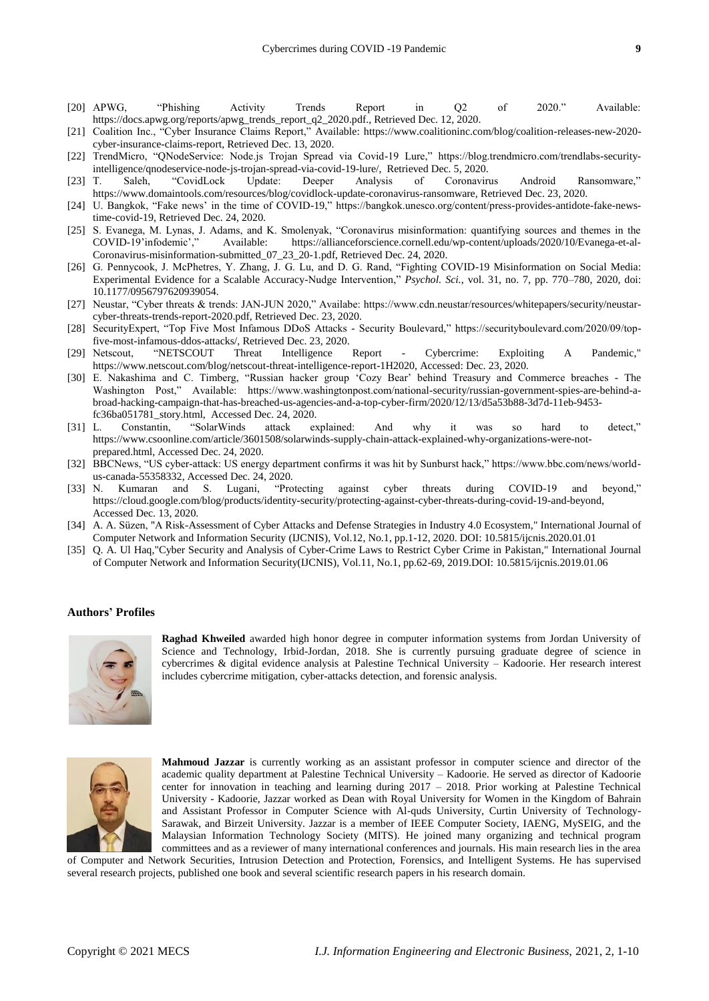- [20] APWG, "Phishing Activity Trends Report in Q2 of 2020." Available: https://docs.apwg.org/reports/apwg\_trends\_report\_q2\_2020.pdf., Retrieved Dec. 12, 2020.
- [21] Coalition Inc., "Cyber Insurance Claims Report," Available: https://www.coalitioninc.com/blog/coalition-releases-new-2020 cyber-insurance-claims-report, Retrieved Dec. 13, 2020.
- [22] TrendMicro, "QNodeService: Node.js Trojan Spread via Covid-19 Lure," https://blog.trendmicro.com/trendlabs-securityintelligence/qnodeservice-node-js-trojan-spread-via-covid-19-lure/, Retrieved Dec. 5, 2020.
- [23] T. Saleh, "CovidLock Update: Deeper Analysis of Coronavirus Android Ransomware," https://www.domaintools.com/resources/blog/covidlock-update-coronavirus-ransomware, Retrieved Dec. 23, 2020.
- [24] U. Bangkok, "Fake news" in the time of COVID-19," https://bangkok.unesco.org/content/press-provides-antidote-fake-newstime-covid-19, Retrieved Dec. 24, 2020.
- [25] S. Evanega, M. Lynas, J. Adams, and K. Smolenyak, "Coronavirus misinformation: quantifying sources and themes in the COVID-19"infodemic"," Available: https://allianceforscience.cornell.edu/wp-content/uploads/2020/10/Evanega-et-al-Coronavirus-misinformation-submitted\_07\_23\_20-1.pdf, Retrieved Dec. 24, 2020.
- [26] G. Pennycook, J. McPhetres, Y. Zhang, J. G. Lu, and D. G. Rand, "Fighting COVID-19 Misinformation on Social Media: Experimental Evidence for a Scalable Accuracy-Nudge Intervention," *Psychol. Sci.*, vol. 31, no. 7, pp. 770–780, 2020, doi: 10.1177/0956797620939054.
- [27] Neustar, "Cyber threats & trends: JAN-JUN 2020," Availabe: https://www.cdn.neustar/resources/whitepapers/security/neustarcyber-threats-trends-report-2020.pdf, Retrieved Dec. 23, 2020.
- [28] SecurityExpert, "Top Five Most Infamous DDoS Attacks Security Boulevard," https://securityboulevard.com/2020/09/topfive-most-infamous-ddos-attacks/, Retrieved Dec. 23, 2020.
- [29] Netscout, "NETSCOUT Threat Intelligence Report Cybercrime: Exploiting A Pandemic," https://www.netscout.com/blog/netscout-threat-intelligence-report-1H2020, Accessed: Dec. 23, 2020.
- [30] E. Nakashima and C. Timberg, "Russian hacker group "Cozy Bear" behind Treasury and Commerce breaches The Washington Post," Available: https://www.washingtonpost.com/national-security/russian-government-spies-are-behind-abroad-hacking-campaign-that-has-breached-us-agencies-and-a-top-cyber-firm/2020/12/13/d5a53b88-3d7d-11eb-9453 fc36ba051781\_story.html, Accessed Dec. 24, 2020.
- [31] L. Constantin, "SolarWinds attack explained: And why it was so hard to detect," https://www.csoonline.com/article/3601508/solarwinds-supply-chain-attack-explained-why-organizations-were-notprepared.html, Accessed Dec. 24, 2020.
- [32] BBCNews, "US cyber-attack: US energy department confirms it was hit by Sunburst hack," https://www.bbc.com/news/worldus-canada-55358332, Accessed Dec. 24, 2020.
- [33] N. Kumaran and S. Lugani, "Protecting against cyber threats during COVID-19 and beyond," https://cloud.google.com/blog/products/identity-security/protecting-against-cyber-threats-during-covid-19-and-beyond, Accessed Dec. 13, 2020.
- [34] A. A. Süzen, "A Risk-Assessment of Cyber Attacks and Defense Strategies in Industry 4.0 Ecosystem," International Journal of Computer Network and Information Security (IJCNIS), Vol.12, No.1, pp.1-12, 2020. DOI: 10.5815/ijcnis.2020.01.01
- [35] Q. A. Ul Haq,"Cyber Security and Analysis of Cyber-Crime Laws to Restrict Cyber Crime in Pakistan," International Journal of Computer Network and Information Security(IJCNIS), Vol.11, No.1, pp.62-69, 2019.DOI: 10.5815/ijcnis.2019.01.06

#### **Authors' Profiles**



**Raghad Khweiled** awarded high honor degree in computer information systems from Jordan University of Science and Technology, Irbid-Jordan, 2018. She is currently pursuing graduate degree of science in cybercrimes & digital evidence analysis at Palestine Technical University – Kadoorie. Her research interest includes cybercrime mitigation, cyber-attacks detection, and forensic analysis.



**Mahmoud Jazzar** is currently working as an assistant professor in computer science and director of the academic quality department at Palestine Technical University – Kadoorie. He served as director of Kadoorie center for innovation in teaching and learning during 2017 – 2018. Prior working at Palestine Technical University - Kadoorie, Jazzar worked as Dean with Royal University for Women in the Kingdom of Bahrain and Assistant Professor in Computer Science with Al-quds University, Curtin University of Technology-Sarawak, and Birzeit University. Jazzar is a member of IEEE Computer Society, IAENG, MySEIG, and the Malaysian Information Technology Society (MITS). He joined many organizing and technical program committees and as a reviewer of many international conferences and journals. His main research lies in the area

of Computer and Network Securities, Intrusion Detection and Protection, Forensics, and Intelligent Systems. He has supervised several research projects, published one book and several scientific research papers in his research domain.